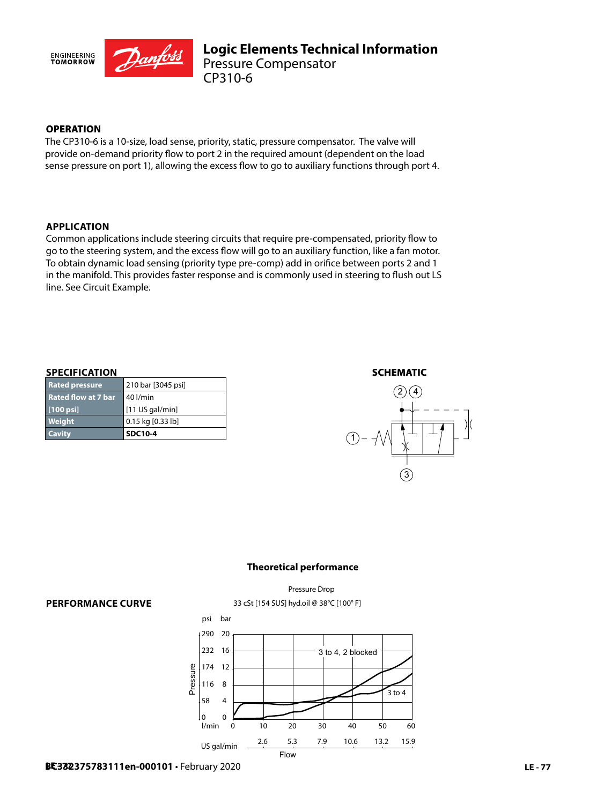

# **OPERATION**

The CP310-6 is a 10-size, load sense, priority, static, pressure compensator. The valve will provide on-demand priority flow to port 2 in the required amount (dependent on the load sense pressure on port 1), allowing the excess flow to go to auxiliary functions through port 4.

#### **APPLICATION**

Common applications include steering circuits that require pre-compensated, priority flow to go to the steering system, and the excess flow will go to an auxiliary function, like a fan motor. To obtain dynamic load sensing (priority type pre-comp) add in orifice between ports 2 and 1 in the manifold. This provides faster response and is commonly used in steering to flush out LS line. See Circuit Example.

#### **SPECIFICATION**

| <b>Cavity</b>              | <b>SDC10-4</b>     |
|----------------------------|--------------------|
| <b>Weight</b>              | 0.15 kg [0.33 lb]  |
| $[100 \,\mathrm{psi}]$     | $[11$ US gal/min]  |
| <b>Rated flow at 7 bar</b> | ∥ 40 l/min         |
| <b>Rated pressure</b>      | 210 bar [3045 psi] |

### **SCHEMATIC**



#### **Theoretical performance**

33 cSt [154 SUS] hyd.oil @ 38°C [100° F] Pressure Drop

#### **PERFORMANCE CURVE**